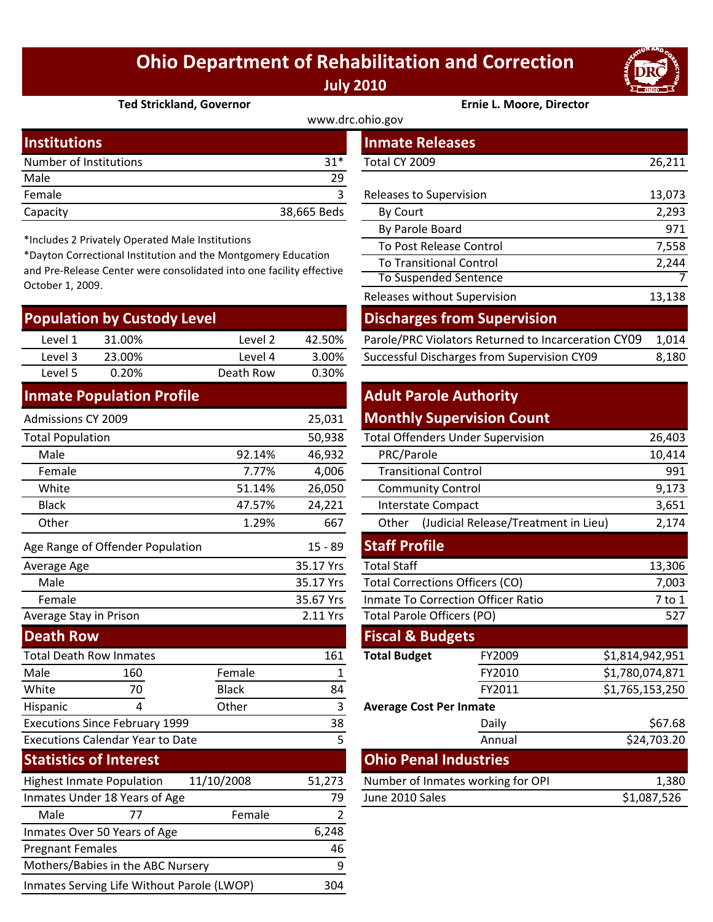## **Ohio Department of Rehabilitation and Correction July 2010**



#### **Ted Strickland, Governor Ernie L. Moore, Director**

| www.drc.ohio.gov       |             |                         |        |  |  |  |
|------------------------|-------------|-------------------------|--------|--|--|--|
| <b>Institutions</b>    |             | <b>Inmate Releases</b>  |        |  |  |  |
| Number of Institutions | $31*$       | Total CY 2009           | 26,211 |  |  |  |
| Male                   | 29          |                         |        |  |  |  |
| Female                 |             | Releases to Supervision | 13,073 |  |  |  |
| Capacity               | 38,665 Beds | By Court                | 2,293  |  |  |  |

\*Includes 2 Privately Operated Male Institutions

\*Dayton Correctional Institution and the Montgomery Education and Pre‐Release Center were consolidated into one facility effective October 1, 2009.

| <b>Population by Custody Level</b> |                                             |           |        | <b>Discharges from Supervision</b>                  |       |  |
|------------------------------------|---------------------------------------------|-----------|--------|-----------------------------------------------------|-------|--|
| Level 1                            | 31.00%                                      | Level 2   | 42.50% | Parole/PRC Violators Returned to Incarceration CY09 | 1,014 |  |
| Level 3                            | 23.00%                                      | Level 4   | 3.00%  | Successful Discharges from Supervision CY09         | 8,180 |  |
| Level 5                            | 0.20%                                       | Death Row | 0.30%  |                                                     |       |  |
|                                    | المائك وستراف والمتحافظ والمستحدث والمستحدة |           |        | Additional Additional Professor                     |       |  |

#### **Inmate Population Profile**

| Admissions CY 2009                             |                                  |              | 25,031                                 |                                               | <b>Monthly Supervision Count</b>          |                 |
|------------------------------------------------|----------------------------------|--------------|----------------------------------------|-----------------------------------------------|-------------------------------------------|-----------------|
| <b>Total Population</b>                        |                                  |              | 50,938                                 | <b>Total Offenders Under Supervision</b>      |                                           | 26,403          |
| Male                                           | 92.14%                           |              | 46,932                                 | PRC/Parole                                    |                                           | 10,414          |
| Female                                         |                                  | 7.77%        | 4,006                                  | <b>Transitional Control</b>                   |                                           | 991             |
| White                                          |                                  | 51.14%       | 26,050                                 | <b>Community Control</b>                      |                                           | 9,173           |
| <b>Black</b>                                   |                                  | 47.57%       | 24,221                                 | <b>Interstate Compact</b>                     |                                           | 3,651           |
| Other                                          |                                  | 1.29%        | 667                                    | (Judicial Release/Treatment in Lieu)<br>Other |                                           | 2,174           |
|                                                | Age Range of Offender Population |              | $15 - 89$                              | <b>Staff Profile</b>                          |                                           |                 |
| Average Age                                    |                                  |              | 35.17 Yrs                              | <b>Total Staff</b>                            |                                           | 13,306          |
| Male                                           |                                  | 35.17 Yrs    | <b>Total Corrections Officers (CO)</b> |                                               | 7,003                                     |                 |
| Female                                         |                                  |              | 35.67 Yrs                              |                                               | <b>Inmate To Correction Officer Ratio</b> | 7 to 1          |
| Average Stay in Prison                         |                                  |              | 2.11 Yrs                               | <b>Total Parole Officers (PO)</b>             |                                           | 527             |
| <b>Death Row</b>                               |                                  |              |                                        | <b>Fiscal &amp; Budgets</b>                   |                                           |                 |
| <b>Total Death Row Inmates</b>                 |                                  |              | 161                                    | <b>Total Budget</b>                           | FY2009                                    | \$1,814,942,951 |
| Male                                           | 160                              | Female       | 1                                      |                                               | FY2010                                    | \$1,780,074,871 |
| White                                          | 70                               | <b>Black</b> | 84                                     |                                               | FY2011                                    | \$1,765,153,250 |
| Hispanic                                       | 4                                | Other        | 3                                      | <b>Average Cost Per Inmate</b>                |                                           |                 |
| <b>Executions Since February 1999</b>          |                                  |              | 38                                     |                                               | Daily                                     | \$67.68         |
| <b>Executions Calendar Year to Date</b>        |                                  |              | 5                                      |                                               | Annual                                    | \$24,703.20     |
| <b>Statistics of Interest</b>                  |                                  |              |                                        | <b>Ohio Penal Industries</b>                  |                                           |                 |
| <b>Highest Inmate Population</b><br>11/10/2008 |                                  | 51,273       | Number of Inmates working for OPI      |                                               | 1,380                                     |                 |
| Inmates Under 18 Years of Age                  |                                  | 79           | June 2010 Sales                        |                                               | \$1,087,526                               |                 |
| Male                                           | 77                               | Female       | 2                                      |                                               |                                           |                 |
|                                                | Inmates Over 50 Years of Age     |              | 6,248                                  |                                               |                                           |                 |
| <b>Pregnant Females</b>                        |                                  |              | 46                                     |                                               |                                           |                 |
| Mothers/Babies in the ABC Nursery              |                                  |              | 9                                      |                                               |                                           |                 |

Inmates Serving Life Without Parole (LWOP) 304

|                                                                                                                                                 | mber of Institutions      |          | $31*$       | Total CY 2009                                       | 26,211 |
|-------------------------------------------------------------------------------------------------------------------------------------------------|---------------------------|----------|-------------|-----------------------------------------------------|--------|
| le                                                                                                                                              |                           |          | 29          |                                                     |        |
| nale                                                                                                                                            |                           |          | 3           | Releases to Supervision                             | 13,073 |
| acity                                                                                                                                           |                           |          | 38,665 Beds | By Court                                            | 2,293  |
|                                                                                                                                                 |                           |          |             | By Parole Board                                     | 971    |
| cludes 2 Privately Operated Male Institutions                                                                                                   |                           |          |             | To Post Release Control                             | 7,558  |
| yton Correctional Institution and the Montgomery Education<br>Pre-Release Center were consolidated into one facility effective<br>ober 1, 2009. |                           |          |             | <b>To Transitional Control</b>                      | 2,244  |
|                                                                                                                                                 |                           |          |             | To Suspended Sentence                               |        |
|                                                                                                                                                 |                           |          |             | Releases without Supervision                        | 13,138 |
|                                                                                                                                                 | pulation by Custody Level |          |             | <b>Discharges from Supervision</b>                  |        |
| Level 1                                                                                                                                         | 31.00%                    | Level 2  | 42.50%      | Parole/PRC Violators Returned to Incarceration CY09 | 1,014  |
| $F  $ aval                                                                                                                                      | 23 UUX                    | 4 امرو ا | 3.00%       | Successful Discharges from Supervision CY09         | 8180   |

### **Adult Parole Authority Monthly Supervision Count**

|        | 50,938                | <b>Total Offenders Under Supervision</b>  | 26,403                                        |                                   |                 |
|--------|-----------------------|-------------------------------------------|-----------------------------------------------|-----------------------------------|-----------------|
| 92.14% | 46,932                | PRC/Parole                                |                                               |                                   | 10,414          |
| 7.77%  | 4,006                 | <b>Transitional Control</b>               |                                               |                                   | 991             |
| 51.14% | 26,050                | <b>Community Control</b>                  | 9,173                                         |                                   |                 |
| 47.57% | 24,221                | <b>Interstate Compact</b>                 |                                               |                                   | 3,651           |
| 1.29%  | 667                   | Other                                     | 2,174<br>(Judicial Release/Treatment in Lieu) |                                   |                 |
|        | $15 - 89$             | <b>Staff Profile</b>                      |                                               |                                   |                 |
|        | 35.17 Yrs             | <b>Total Staff</b>                        |                                               |                                   | 13,306          |
|        | 35.17 Yrs             | <b>Total Corrections Officers (CO)</b>    | 7,003                                         |                                   |                 |
|        | 35.67 Yrs             | <b>Inmate To Correction Officer Ratio</b> | 7 to 1                                        |                                   |                 |
|        | 2.11 Yrs              | <b>Total Parole Officers (PO)</b>         |                                               |                                   | 527             |
|        |                       | <b>Fiscal &amp; Budgets</b>               |                                               |                                   |                 |
|        | 161                   | <b>Total Budget</b>                       |                                               | FY2009                            | \$1,814,942,951 |
| ıale   | 1                     |                                           |                                               | FY2010                            | \$1,780,074,871 |
| :k     | 84                    |                                           |                                               | FY2011                            | \$1,765,153,250 |
| er     | 3                     | <b>Average Cost Per Inmate</b>            |                                               |                                   |                 |
|        | 38                    |                                           |                                               | Daily                             | \$67.68         |
|        | 5                     |                                           |                                               | Annual                            | \$24,703.20     |
|        |                       |                                           |                                               | <b>Ohio Penal Industries</b>      |                 |
| 08     | 51,273                |                                           |                                               | Number of Inmates working for OPI | 1,380           |
|        | June 2010 Sales<br>79 |                                           |                                               |                                   | \$1,087,526     |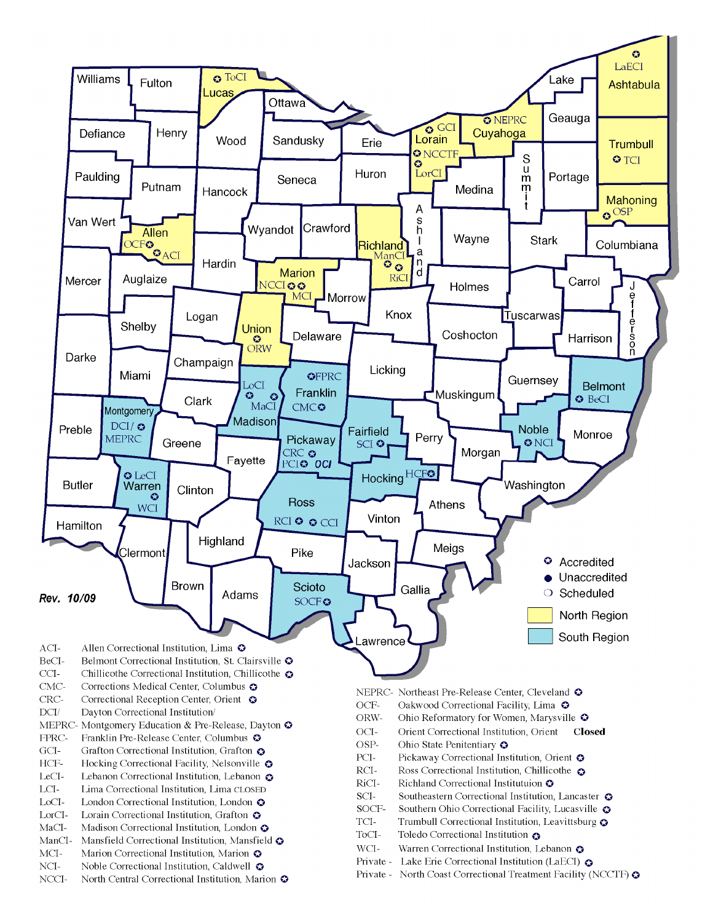